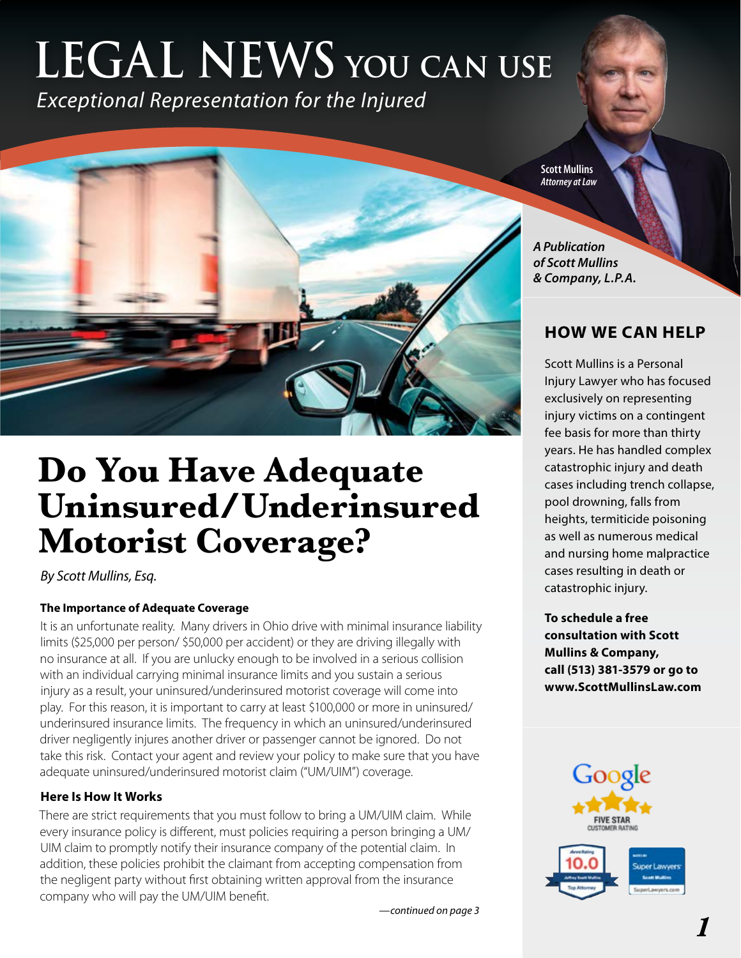# **LEGAL NEWS you can use**

*Exceptional Representation for the Injured*



# **Do You Have Adequate Uninsured/Underinsured Motorist Coverage?**

*By Scott Mullins, Esq.*

### **The Importance of Adequate Coverage**

It is an unfortunate reality. Many drivers in Ohio drive with minimal insurance liability limits (\$25,000 per person/ \$50,000 per accident) or they are driving illegally with no insurance at all. If you are unlucky enough to be involved in a serious collision with an individual carrying minimal insurance limits and you sustain a serious injury as a result, your uninsured/underinsured motorist coverage will come into play. For this reason, it is important to carry at least \$100,000 or more in uninsured/ underinsured insurance limits. The frequency in which an uninsured/underinsured driver negligently injures another driver or passenger cannot be ignored. Do not take this risk. Contact your agent and review your policy to make sure that you have adequate uninsured/underinsured motorist claim ("UM/UIM") coverage.

### **Here Is How It Works**

There are strict requirements that you must follow to bring a UM/UIM claim. While every insurance policy is different, must policies requiring a person bringing a UM/ UIM claim to promptly notify their insurance company of the potential claim. In addition, these policies prohibit the claimant from accepting compensation from the negligent party without first obtaining written approval from the insurance company who will pay the UM/UIM benefit.

*—continued on page 3*



*A Publication of Scott Mullins & Company, L.P.A.*

# **HOW WE CAN HELP**

Scott Mullins is a Personal Injury Lawyer who has focused exclusively on representing injury victims on a contingent fee basis for more than thirty years. He has handled complex catastrophic injury and death cases including trench collapse, pool drowning, falls from heights, termiticide poisoning as well as numerous medical and nursing home malpractice cases resulting in death or catastrophic injury.

**To schedule a free consultation with Scott Mullins & Company, call (513) 381-3579 or go to www.ScottMullinsLaw.com**

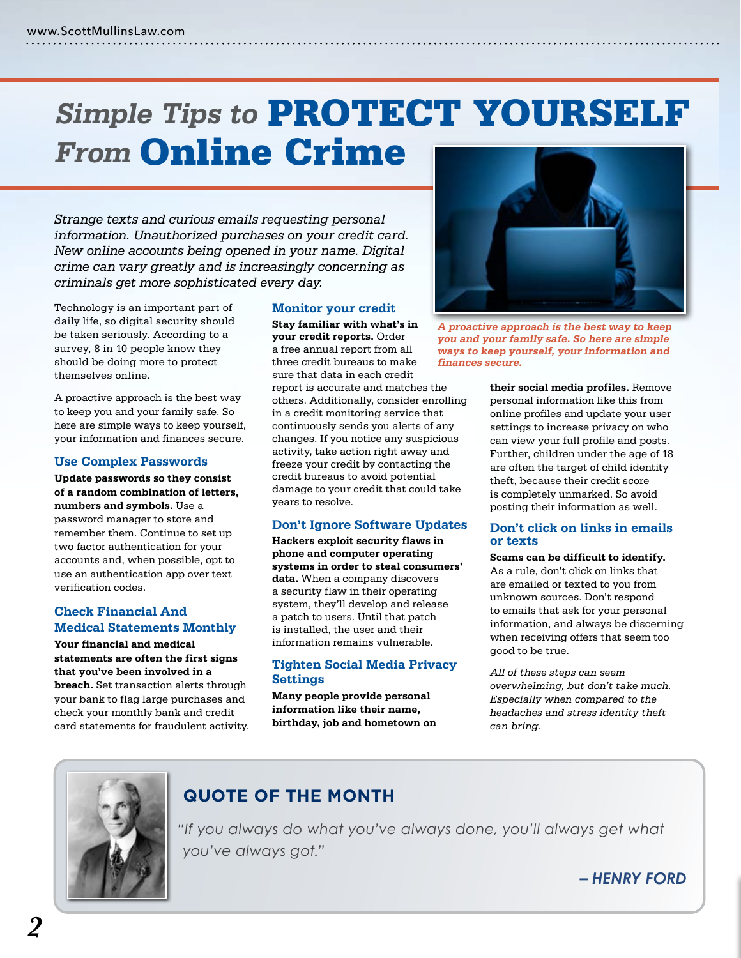# **Simple Tips to** PROTECT YOURSELF **From Online Crime**

*Strange texts and curious emails requesting personal information. Unauthorized purchases on your credit card. New online accounts being opened in your name. Digital crime can vary greatly and is increasingly concerning as criminals get more sophisticated every day.*

Technology is an important part of daily life, so digital security should be taken seriously. According to a survey, 8 in 10 people know they should be doing more to protect themselves online.

A proactive approach is the best way to keep you and your family safe. So here are simple ways to keep yourself, your information and finances secure.

#### **Use Complex Passwords**

**Update passwords so they consist of a random combination of letters, numbers and symbols.** Use a password manager to store and remember them. Continue to set up two factor authentication for your accounts and, when possible, opt to use an authentication app over text verification codes.

#### **Check Financial And Medical Statements Monthly**

**Your financial and medical statements are often the first signs that you've been involved in a breach.** Set transaction alerts through your bank to flag large purchases and check your monthly bank and credit card statements for fraudulent activity.

#### **Monitor your credit**

**Stay familiar with what's in your credit reports.** Order a free annual report from all three credit bureaus to make sure that data in each credit report is accurate and matches the others. Additionally, consider enrolling in a credit monitoring service that continuously sends you alerts of any changes. If you notice any suspicious activity, take action right away and freeze your credit by contacting the credit bureaus to avoid potential damage to your credit that could take years to resolve.

#### **Don't Ignore Software Updates**

**Hackers exploit security flaws in phone and computer operating systems in order to steal consumers' data.** When a company discovers a security flaw in their operating system, they'll develop and release a patch to users. Until that patch is installed, the user and their information remains vulnerable.

#### **Tighten Social Media Privacy Settings**

**Many people provide personal information like their name, birthday, job and hometown on** 



**A proactive approach is the best way to keep you and your family safe. So here are simple ways to keep yourself, your information and finances secure.**

**their social media profiles.** Remove personal information like this from online profiles and update your user settings to increase privacy on who can view your full profile and posts. Further, children under the age of 18 are often the target of child identity theft, because their credit score is completely unmarked. So avoid posting their information as well.

#### **Don't click on links in emails or texts**

**Scams can be difficult to identify.**  As a rule, don't click on links that are emailed or texted to you from unknown sources. Don't respond to emails that ask for your personal information, and always be discerning when receiving offers that seem too good to be true.

*All of these steps can seem overwhelming, but don't take much. Especially when compared to the headaches and stress identity theft can bring.*



## **QUOTE OF THE MONTH**

 *"If you always do what you've always done, you'll always get what you've always got."*

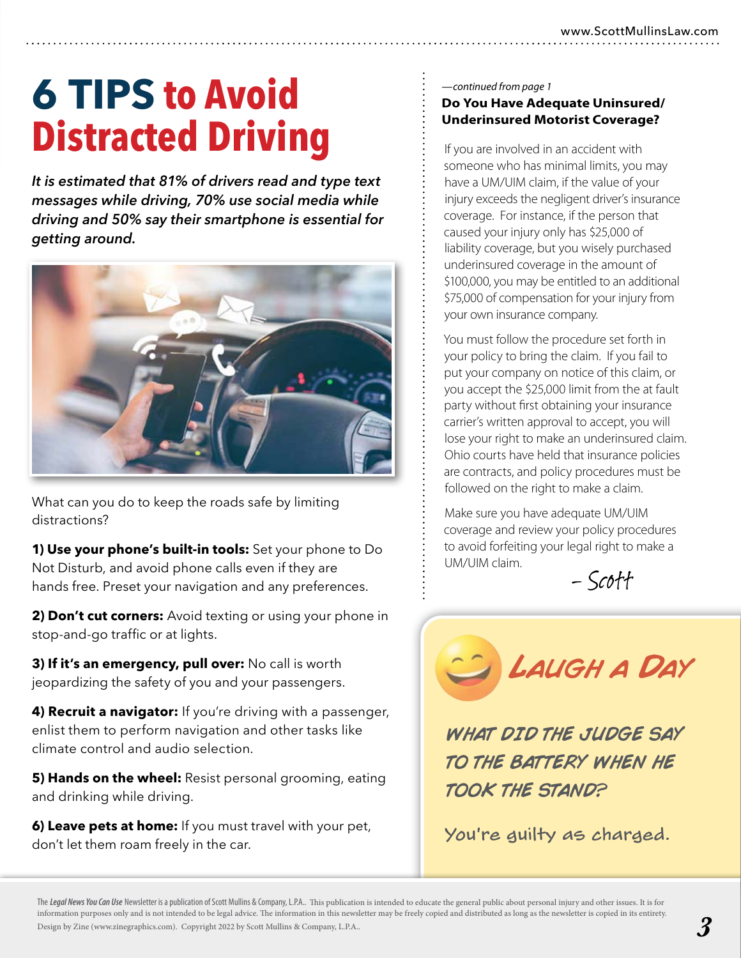# **FROM DENTIVING**<br>
Fryou are involved in an accident with<br>
someone who has minimal limits, you **6 TIPS to Avoid Distracted Driving**

*It is estimated that 81% of drivers read and type text messages while driving, 70% use social media while driving and 50% say their smartphone is essential for getting around.*



What can you do to keep the roads safe by limiting distractions?

**1) Use your phone's built-in tools:** Set your phone to Do Not Disturb, and avoid phone calls even if they are hands free. Preset your navigation and any preferences.

**2) Don't cut corners:** Avoid texting or using your phone in stop-and-go traffic or at lights.

**3) If it's an emergency, pull over:** No call is worth jeopardizing the safety of you and your passengers.

**4) Recruit a navigator:** If you're driving with a passenger, enlist them to perform navigation and other tasks like climate control and audio selection.

**5) Hands on the wheel:** Resist personal grooming, eating and drinking while driving.

**6) Leave pets at home:** If you must travel with your pet, don't let them roam freely in the car.

#### *—continued from page 1* **Do You Have Adequate Uninsured/ Underinsured Motorist Coverage?**

someone who has minimal limits, you may have a UM/UIM claim, if the value of your injury exceeds the negligent driver's insurance coverage. For instance, if the person that caused your injury only has \$25,000 of liability coverage, but you wisely purchased underinsured coverage in the amount of \$100,000, you may be entitled to an additional \$75,000 of compensation for your injury from your own insurance company.

You must follow the procedure set forth in your policy to bring the claim. If you fail to put your company on notice of this claim, or you accept the \$25,000 limit from the at fault party without first obtaining your insurance carrier's written approval to accept, you will lose your right to make an underinsured claim. Ohio courts have held that insurance policies are contracts, and policy procedures must be followed on the right to make a claim.

Make sure you have adequate UM/UIM coverage and review your policy procedures to avoid forfeiting your legal right to make a UM/UIM claim.

– Scott



WHAT DID THE JUDGE SAY TO THE BATTERY WHEN HE TOOK THE STAND?

You're guilty as charged.

The *Legal News You Can Use* Newsletter is a publication of Scott Mullins & Company, L.P.A.. This publication is intended to educate the general public about personal injury and other issues. It is for information purposes only and is not intended to be legal advice. The information in this newsletter may be freely copied and distributed as long as the newsletter is copied in its entirety. Design by Zine (www.zinegraphics.com). Copyright 2022 by Scott Mullins & Company, L.P.A..